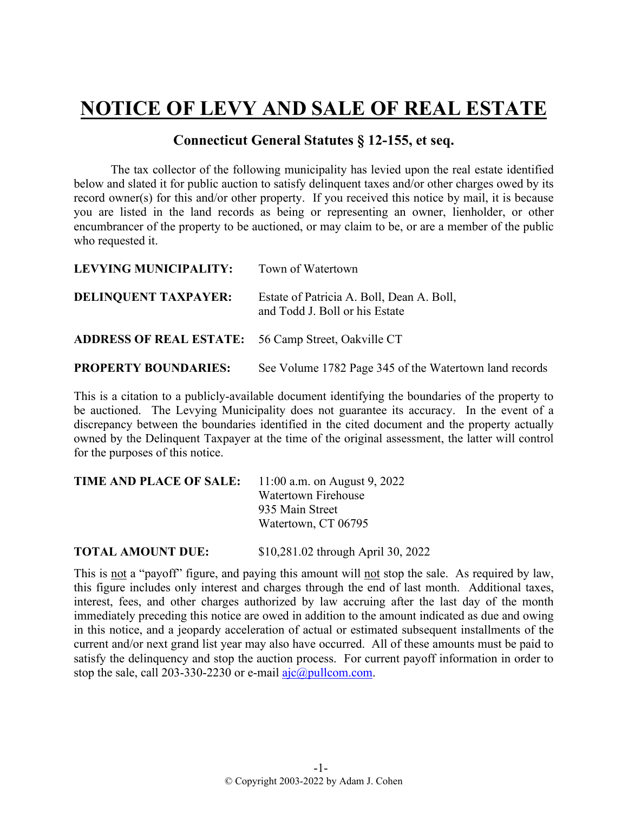## **NOTICE OF LEVY AND SALE OF REAL ESTATE**

## **Connecticut General Statutes § 12-155, et seq.**

The tax collector of the following municipality has levied upon the real estate identified below and slated it for public auction to satisfy delinquent taxes and/or other charges owed by its record owner(s) for this and/or other property. If you received this notice by mail, it is because you are listed in the land records as being or representing an owner, lienholder, or other encumbrancer of the property to be auctioned, or may claim to be, or are a member of the public who requested it.

| <b>LEVYING MUNICIPALITY:</b>                               | Town of Watertown                                                           |
|------------------------------------------------------------|-----------------------------------------------------------------------------|
| <b>DELINQUENT TAXPAYER:</b>                                | Estate of Patricia A. Boll, Dean A. Boll,<br>and Todd J. Boll or his Estate |
| <b>ADDRESS OF REAL ESTATE:</b> 56 Camp Street, Oakville CT |                                                                             |
| <b>PROPERTY BOUNDARIES:</b>                                | See Volume 1782 Page 345 of the Watertown land records                      |

This is a citation to a publicly-available document identifying the boundaries of the property to be auctioned. The Levying Municipality does not guarantee its accuracy. In the event of a discrepancy between the boundaries identified in the cited document and the property actually owned by the Delinquent Taxpayer at the time of the original assessment, the latter will control for the purposes of this notice.

| <b>TIME AND PLACE OF SALE:</b> | 11:00 a.m. on August 9, 2022 |
|--------------------------------|------------------------------|
|                                | Watertown Firehouse          |
|                                | 935 Main Street              |
|                                | Watertown, CT 06795          |
|                                |                              |

**TOTAL AMOUNT DUE:** \$10,281.02 through April 30, 2022

This is not a "payoff" figure, and paying this amount will not stop the sale. As required by law, this figure includes only interest and charges through the end of last month. Additional taxes, interest, fees, and other charges authorized by law accruing after the last day of the month immediately preceding this notice are owed in addition to the amount indicated as due and owing in this notice, and a jeopardy acceleration of actual or estimated subsequent installments of the current and/or next grand list year may also have occurred. All of these amounts must be paid to satisfy the delinquency and stop the auction process. For current payoff information in order to stop the sale, call 203-330-2230 or e-mail  $a$ jc $(a)$ pullcom.com.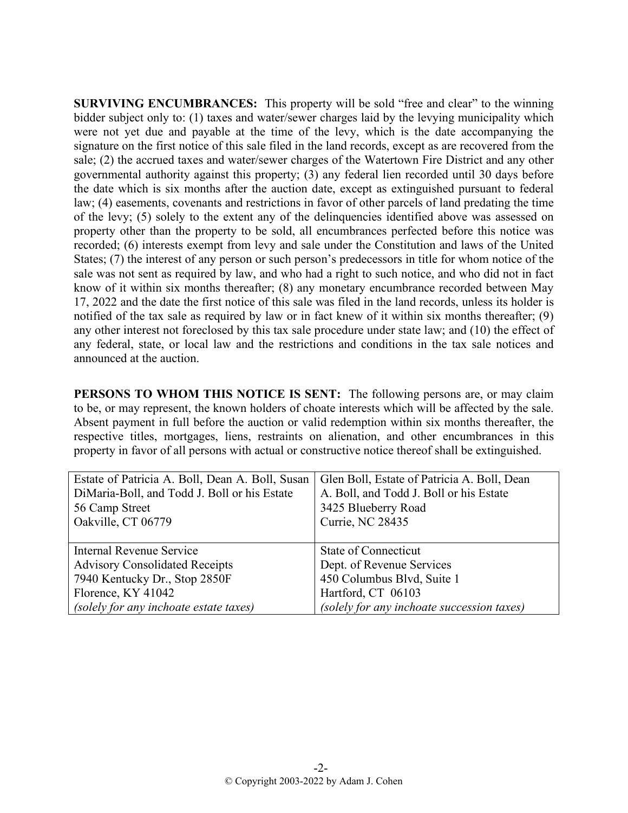**SURVIVING ENCUMBRANCES:** This property will be sold "free and clear" to the winning bidder subject only to: (1) taxes and water/sewer charges laid by the levying municipality which were not yet due and payable at the time of the levy, which is the date accompanying the signature on the first notice of this sale filed in the land records, except as are recovered from the sale; (2) the accrued taxes and water/sewer charges of the Watertown Fire District and any other governmental authority against this property; (3) any federal lien recorded until 30 days before the date which is six months after the auction date, except as extinguished pursuant to federal law; (4) easements, covenants and restrictions in favor of other parcels of land predating the time of the levy; (5) solely to the extent any of the delinquencies identified above was assessed on property other than the property to be sold, all encumbrances perfected before this notice was recorded; (6) interests exempt from levy and sale under the Constitution and laws of the United States; (7) the interest of any person or such person's predecessors in title for whom notice of the sale was not sent as required by law, and who had a right to such notice, and who did not in fact know of it within six months thereafter; (8) any monetary encumbrance recorded between May 17, 2022 and the date the first notice of this sale was filed in the land records, unless its holder is notified of the tax sale as required by law or in fact knew of it within six months thereafter; (9) any other interest not foreclosed by this tax sale procedure under state law; and (10) the effect of any federal, state, or local law and the restrictions and conditions in the tax sale notices and announced at the auction.

**PERSONS TO WHOM THIS NOTICE IS SENT:** The following persons are, or may claim to be, or may represent, the known holders of choate interests which will be affected by the sale. Absent payment in full before the auction or valid redemption within six months thereafter, the respective titles, mortgages, liens, restraints on alienation, and other encumbrances in this property in favor of all persons with actual or constructive notice thereof shall be extinguished.

| Estate of Patricia A. Boll, Dean A. Boll, Susan | Glen Boll, Estate of Patricia A. Boll, Dean |
|-------------------------------------------------|---------------------------------------------|
| DiMaria-Boll, and Todd J. Boll or his Estate    | A. Boll, and Todd J. Boll or his Estate     |
| 56 Camp Street                                  | 3425 Blueberry Road                         |
| Oakville, CT 06779                              | <b>Currie, NC 28435</b>                     |
|                                                 |                                             |
| Internal Revenue Service                        | State of Connecticut                        |
| <b>Advisory Consolidated Receipts</b>           | Dept. of Revenue Services                   |
| 7940 Kentucky Dr., Stop 2850F                   | 450 Columbus Blvd, Suite 1                  |
| Florence, KY 41042                              | Hartford, CT 06103                          |
| (solely for any inchoate estate taxes)          | (solely for any inchoate succession taxes)  |